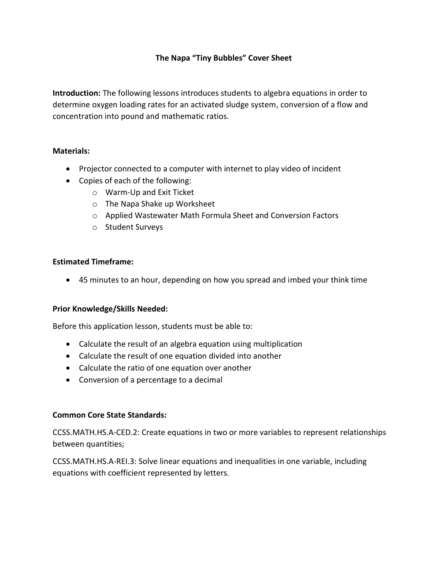# **The Napa "Tiny Bubbles" Cover Sheet**

**Introduction:** The following lessons introduces students to algebra equations in order to determine oxygen loading rates for an activated sludge system, conversion of a flow and concentration into pound and mathematic ratios.

### **Materials:**

- Projector connected to a computer with internet to play video of incident
- Copies of each of the following:
	- o Warm-Up and Exit Ticket
	- o The Napa Shake up Worksheet
	- o Applied Wastewater Math Formula Sheet and Conversion Factors
	- o Student Surveys

### **Estimated Timeframe:**

• 45 minutes to an hour, depending on how you spread and imbed your think time

### **Prior Knowledge/Skills Needed:**

Before this application lesson, students must be able to:

- Calculate the result of an algebra equation using multiplication
- Calculate the result of one equation divided into another
- Calculate the ratio of one equation over another
- Conversion of a percentage to a decimal

### **Common Core State Standards:**

CCSS.MATH.HS.A-CED.2: Create equations in two or more variables to represent relationships between quantities;

CCSS.MATH.HS.A-REI.3: Solve linear equations and inequalities in one variable, including equations with coefficient represented by letters.